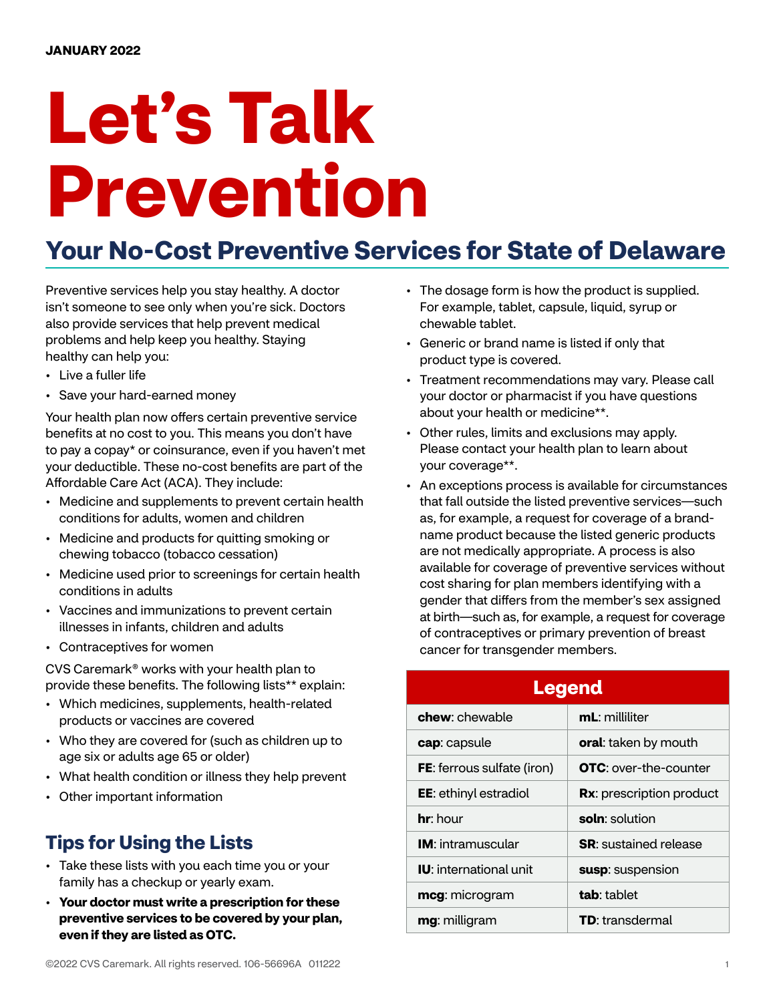# **Let's Talk Prevention**

## **Your No-Cost Preventive Services for State of Delaware**

Preventive services help you stay healthy. A doctor isn't someone to see only when you're sick. Doctors also provide services that help prevent medical problems and help keep you healthy. Staying healthy can help you:

- Live a fuller life
- Save your hard-earned money

Your health plan now offers certain preventive service benefits at no cost to you. This means you don't have to pay a copay\* or coinsurance, even if you haven't met your deductible. These no-cost benefits are part of the Affordable Care Act (ACA). They include:

- Medicine and supplements to prevent certain health conditions for adults, women and children
- Medicine and products for quitting smoking or chewing tobacco (tobacco cessation)
- Medicine used prior to screenings for certain health conditions in adults
- Vaccines and immunizations to prevent certain illnesses in infants, children and adults
- Contraceptives for women

CVS Caremark® works with your health plan to provide these benefits. The following lists\*\* explain:

- Which medicines, supplements, health-related products or vaccines are covered
- Who they are covered for (such as children up to age six or adults age 65 or older)
- What health condition or illness they help prevent
- Other important information

## **Tips for Using the Lists**

- Take these lists with you each time you or your family has a checkup or yearly exam.
- **Your doctor must write a prescription for these preventive services to be covered by your plan, even if they are listed as OTC.**
- The dosage form is how the product is supplied. For example, tablet, capsule, liquid, syrup or chewable tablet.
- Generic or brand name is listed if only that product type is covered.
- Treatment recommendations may vary. Please call your doctor or pharmacist if you have questions about your health or medicine\*\*.
- Other rules, limits and exclusions may apply. Please contact your health plan to learn about your coverage\*\*.
- An exceptions process is available for circumstances that fall outside the listed preventive services—such as, for example, a request for coverage of a brandname product because the listed generic products are not medically appropriate. A process is also available for coverage of preventive services without cost sharing for plan members identifying with a gender that differs from the member's sex assigned at birth—such as, for example, a request for coverage of contraceptives or primary prevention of breast cancer for transgender members.

| <b>Legend</b>                     |                              |  |
|-----------------------------------|------------------------------|--|
| chew: chewable                    | mL: milliliter               |  |
| cap: capsule                      | oral: taken by mouth         |  |
| <b>FE:</b> ferrous sulfate (iron) | <b>OTC:</b> over-the-counter |  |
| <b>EE:</b> ethinyl estradiol      | Rx: prescription product     |  |
| hr: hour                          | soln: solution               |  |
| <b>IM</b> : intramuscular         | <b>SR:</b> sustained release |  |
| <b>IU:</b> international unit     | susp: suspension             |  |
| mcg: microgram                    | tab: tablet                  |  |
| mg: milligram                     | <b>TD</b> : transdermal      |  |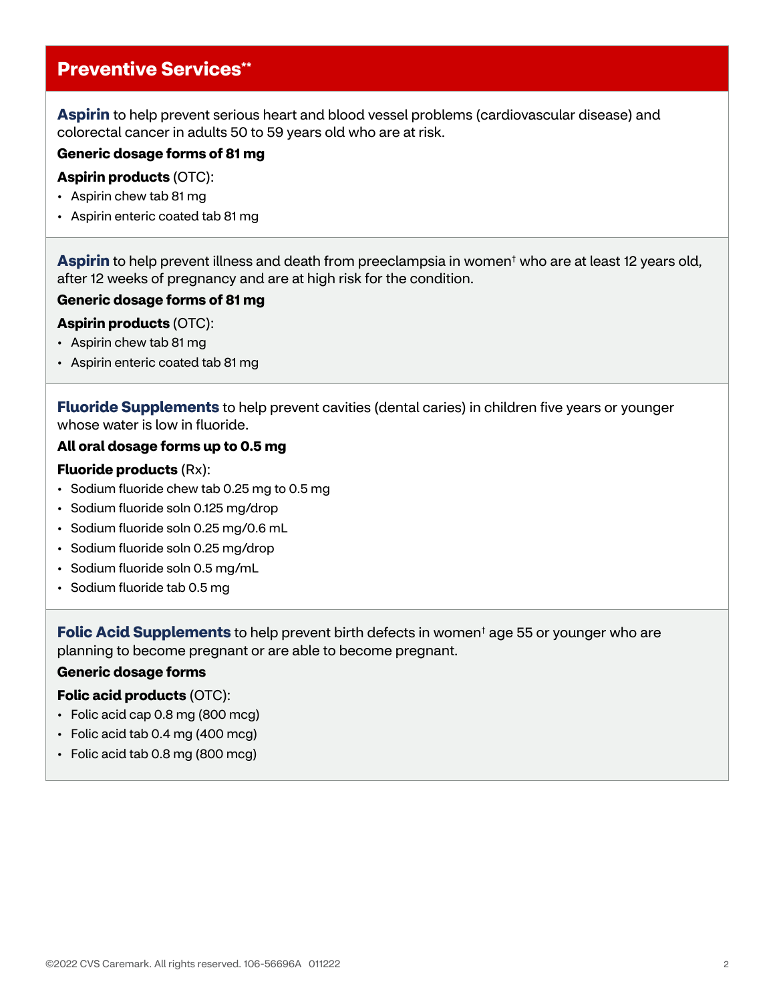## **Preventive Services\*\***

**Aspirin** to help prevent serious heart and blood vessel problems (cardiovascular disease) and colorectal cancer in adults 50 to 59 years old who are at risk.

#### **Generic dosage forms of 81 mg**

#### **Aspirin products** (OTC):

- Aspirin chew tab 81 mg
- Aspirin enteric coated tab 81 mg

**Aspirin** to help prevent illness and death from preeclampsia in women† who are at least 12 years old, after 12 weeks of pregnancy and are at high risk for the condition.

#### **Generic dosage forms of 81 mg**

#### **Aspirin products** (OTC):

- Aspirin chew tab 81 mg
- Aspirin enteric coated tab 81 mg

**Fluoride Supplements** to help prevent cavities (dental caries) in children five years or younger whose water is low in fluoride.

#### **All oral dosage forms up to 0.5 mg**

#### **Fluoride products** (Rx):

- Sodium fluoride chew tab 0.25 mg to 0.5 mg
- Sodium fluoride soln 0.125 mg/drop
- Sodium fluoride soln 0.25 mg/0.6 mL
- Sodium fluoride soln 0.25 mg/drop
- Sodium fluoride soln 0.5 mg/mL
- Sodium fluoride tab 0.5 mg

**Folic Acid Supplements** to help prevent birth defects in women† age 55 or younger who are planning to become pregnant or are able to become pregnant.

#### **Generic dosage forms**

#### **Folic acid products** (OTC):

- Folic acid cap 0.8 mg (800 mcg)
- Folic acid tab 0.4 mg (400 mcg)
- Folic acid tab 0.8 mg (800 mcg)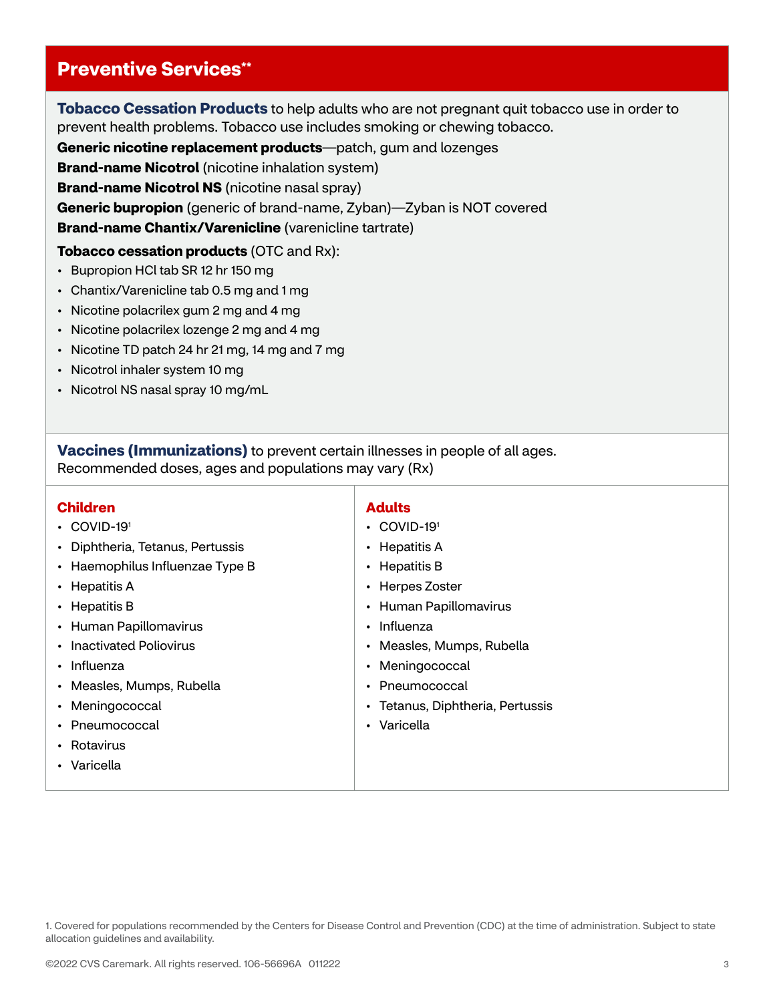## **Preventive Services\*\***

**Tobacco Cessation Products** to help adults who are not pregnant quit tobacco use in order to prevent health problems. Tobacco use includes smoking or chewing tobacco.

**Generic nicotine replacement products**—patch, gum and lozenges

**Brand-name Nicotrol** (nicotine inhalation system)

**Brand-name Nicotrol NS** (nicotine nasal spray)

**Generic bupropion** (generic of brand-name, Zyban)—Zyban is NOT covered

**Brand-name Chantix/Varenicline** (varenicline tartrate)

**Tobacco cessation products** (OTC and Rx):

- Bupropion HCl tab SR 12 hr 150 mg
- Chantix/Varenicline tab 0.5 mg and 1 mg
- Nicotine polacrilex gum 2 mg and 4 mg
- Nicotine polacrilex lozenge 2 mg and 4 mg
- Nicotine TD patch 24 hr 21 mg, 14 mg and 7 mg
- Nicotrol inhaler system 10 mg
- Nicotrol NS nasal spray 10 mg/mL

**Vaccines (Immunizations)** to prevent certain illnesses in people of all ages. Recommended doses, ages and populations may vary (Rx)

#### **Children**

- COVID-19<sup>1</sup>
- Diphtheria, Tetanus, Pertussis
- Haemophilus Influenzae Type B
- Hepatitis A
- Hepatitis B
- Human Papillomavirus
- Inactivated Poliovirus
- Influenza
- Measles, Mumps, Rubella
- Meningococcal
- Pneumococcal
- Rotavirus
- Varicella

#### **Adults**

- COVID-19<sup>1</sup>
- Hepatitis A
- Hepatitis B
- Herpes Zoster
- Human Papillomavirus
- Influenza
- Measles, Mumps, Rubella
- Meningococcal
- Pneumococcal
- Tetanus, Diphtheria, Pertussis
- Varicella

<sup>1.</sup> Covered for populations recommended by the Centers for Disease Control and Prevention (CDC) at the time of administration. Subject to state allocation guidelines and availability.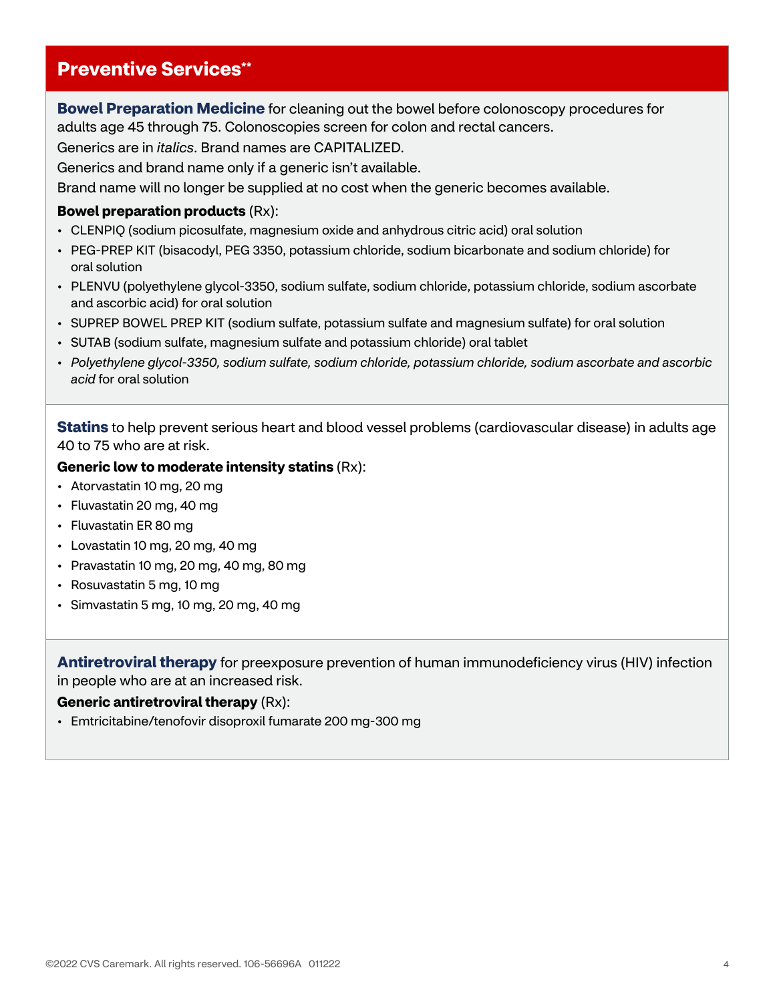### **Preventive Services\*\***

**Bowel Preparation Medicine** for cleaning out the bowel before colonoscopy procedures for adults age 45 through 75. Colonoscopies screen for colon and rectal cancers.

Generics are in *italics*. Brand names are CAPITALIZED.

Generics and brand name only if a generic isn't available.

Brand name will no longer be supplied at no cost when the generic becomes available.

#### **Bowel preparation products** (Rx):

- CLENPIQ (sodium picosulfate, magnesium oxide and anhydrous citric acid) oral solution
- PEG-PREP KIT (bisacodyl, PEG 3350, potassium chloride, sodium bicarbonate and sodium chloride) for oral solution
- PLENVU (polyethylene glycol-3350, sodium sulfate, sodium chloride, potassium chloride, sodium ascorbate and ascorbic acid) for oral solution
- SUPREP BOWEL PREP KIT (sodium sulfate, potassium sulfate and magnesium sulfate) for oral solution
- SUTAB (sodium sulfate, magnesium sulfate and potassium chloride) oral tablet
- *Polyethylene glycol-3350, sodium sulfate, sodium chloride, potassium chloride, sodium ascorbate and ascorbic acid* for oral solution

**Statins** to help prevent serious heart and blood vessel problems (cardiovascular disease) in adults age 40 to 75 who are at risk.

#### **Generic low to moderate intensity statins** (Rx):

- Atorvastatin 10 mg, 20 mg
- Fluvastatin 20 mg, 40 mg
- Fluvastatin ER 80 mg
- Lovastatin 10 mg, 20 mg, 40 mg
- Pravastatin 10 mg, 20 mg, 40 mg, 80 mg
- Rosuvastatin 5 mg, 10 mg
- Simvastatin 5 mg, 10 mg, 20 mg, 40 mg

**Antiretroviral therapy** for preexposure prevention of human immunodeficiency virus (HIV) infection in people who are at an increased risk.

#### **Generic antiretroviral therapy** (Rx):

• Emtricitabine/tenofovir disoproxil fumarate 200 mg-300 mg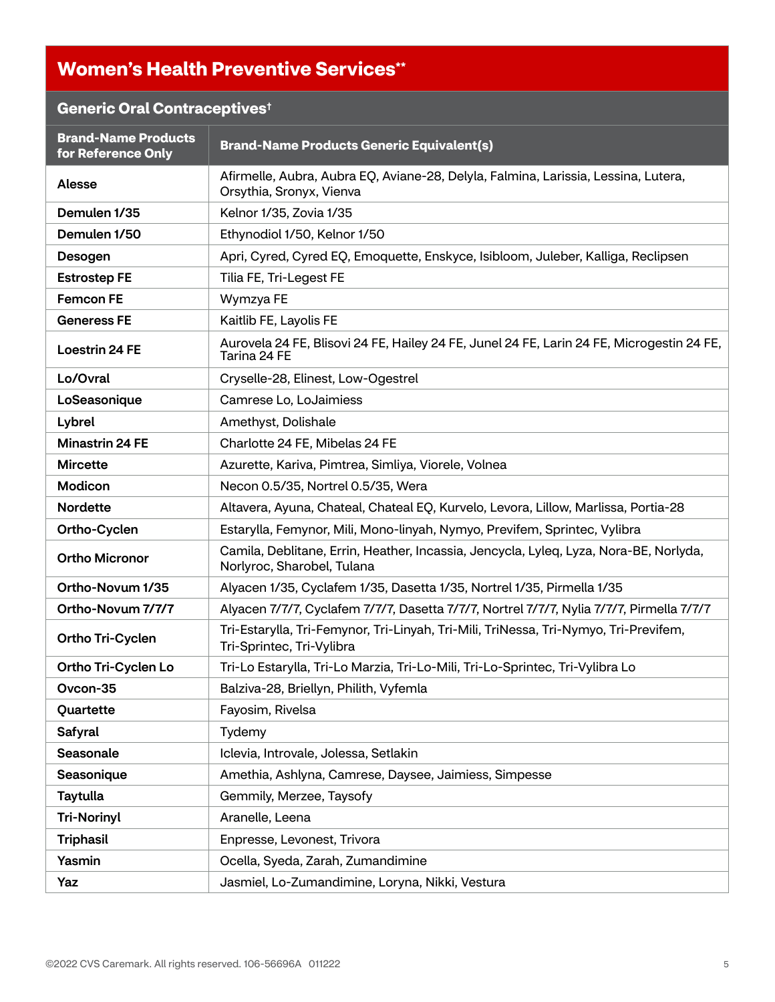## **Women's Health Preventive Services\*\***

## **Generic Oral Contraceptives†**

| <b>Brand-Name Products</b><br>for Reference Only | <b>Brand-Name Products Generic Equivalent(s)</b>                                                                    |
|--------------------------------------------------|---------------------------------------------------------------------------------------------------------------------|
| <b>Alesse</b>                                    | Afirmelle, Aubra, Aubra EQ, Aviane-28, Delyla, Falmina, Larissia, Lessina, Lutera,<br>Orsythia, Sronyx, Vienva      |
| Demulen 1/35                                     | Kelnor 1/35, Zovia 1/35                                                                                             |
| Demulen 1/50                                     | Ethynodiol 1/50, Kelnor 1/50                                                                                        |
| Desogen                                          | Apri, Cyred, Cyred EQ, Emoquette, Enskyce, Isibloom, Juleber, Kalliga, Reclipsen                                    |
| <b>Estrostep FE</b>                              | Tilia FE, Tri-Legest FE                                                                                             |
| <b>Femcon FE</b>                                 | Wymzya FE                                                                                                           |
| <b>Generess FE</b>                               | Kaitlib FE, Layolis FE                                                                                              |
| <b>Loestrin 24 FE</b>                            | Aurovela 24 FE, Blisovi 24 FE, Hailey 24 FE, Junel 24 FE, Larin 24 FE, Microgestin 24 FE,<br>Tarina 24 FE           |
| Lo/Ovral                                         | Cryselle-28, Elinest, Low-Ogestrel                                                                                  |
| LoSeasonique                                     | Camrese Lo, LoJaimiess                                                                                              |
| Lybrel                                           | Amethyst, Dolishale                                                                                                 |
| <b>Minastrin 24 FE</b>                           | Charlotte 24 FE, Mibelas 24 FE                                                                                      |
| <b>Mircette</b>                                  | Azurette, Kariva, Pimtrea, Simliya, Viorele, Volnea                                                                 |
| Modicon                                          | Necon 0.5/35, Nortrel 0.5/35, Wera                                                                                  |
| <b>Nordette</b>                                  | Altavera, Ayuna, Chateal, Chateal EQ, Kurvelo, Levora, Lillow, Marlissa, Portia-28                                  |
| Ortho-Cyclen                                     | Estarylla, Femynor, Mili, Mono-linyah, Nymyo, Previfem, Sprintec, Vylibra                                           |
| <b>Ortho Micronor</b>                            | Camila, Deblitane, Errin, Heather, Incassia, Jencycla, Lyleq, Lyza, Nora-BE, Norlyda,<br>Norlyroc, Sharobel, Tulana |
| Ortho-Novum 1/35                                 | Alyacen 1/35, Cyclafem 1/35, Dasetta 1/35, Nortrel 1/35, Pirmella 1/35                                              |
| Ortho-Novum 7/7/7                                | Alyacen 7/7/7, Cyclafem 7/7/7, Dasetta 7/7/7, Nortrel 7/7/7, Nylia 7/7/7, Pirmella 7/7/7                            |
| Ortho Tri-Cyclen                                 | Tri-Estarylla, Tri-Femynor, Tri-Linyah, Tri-Mili, TriNessa, Tri-Nymyo, Tri-Previfem,<br>Tri-Sprintec, Tri-Vylibra   |
| Ortho Tri-Cyclen Lo                              | Tri-Lo Estarylla, Tri-Lo Marzia, Tri-Lo-Mili, Tri-Lo-Sprintec, Tri-Vylibra Lo                                       |
| Ovcon-35                                         | Balziva-28, Briellyn, Philith, Vyfemla                                                                              |
| Quartette                                        | Fayosim, Rivelsa                                                                                                    |
| Safyral                                          | Tydemy                                                                                                              |
| Seasonale                                        | Iclevia, Introvale, Jolessa, Setlakin                                                                               |
| Seasonique                                       | Amethia, Ashlyna, Camrese, Daysee, Jaimiess, Simpesse                                                               |
| <b>Taytulla</b>                                  | Gemmily, Merzee, Taysofy                                                                                            |
| <b>Tri-Norinyl</b>                               | Aranelle, Leena                                                                                                     |
| <b>Triphasil</b>                                 | Enpresse, Levonest, Trivora                                                                                         |
| Yasmin                                           | Ocella, Syeda, Zarah, Zumandimine                                                                                   |
| Yaz                                              | Jasmiel, Lo-Zumandimine, Loryna, Nikki, Vestura                                                                     |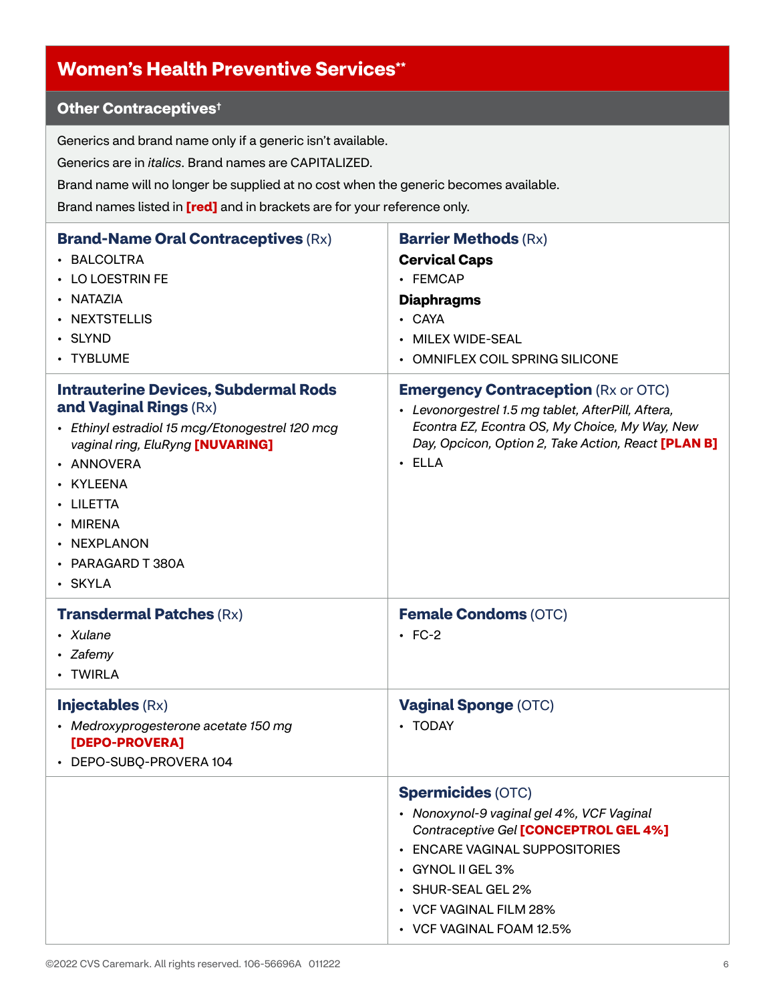## **Women's Health Preventive Services\*\***

## **Other Contraceptives†**

Generics and brand name only if a generic isn't available.

Generics are in *italics*. Brand names are CAPITALIZED.

Brand name will no longer be supplied at no cost when the generic becomes available.

Brand names listed in **[red]** and in brackets are for your reference only.

| <b>Brand-Name Oral Contraceptives (Rx)</b><br>• BALCOLTRA<br>• LO LOESTRIN FE<br>• NATAZIA<br>• NEXTSTELLIS<br>· SLYND<br>• TYBLUME                                                                                                                             | <b>Barrier Methods (Rx)</b><br><b>Cervical Caps</b><br>• FEMCAP<br><b>Diaphragms</b><br>• CAYA<br><b>MILEX WIDE-SEAL</b><br>$\bullet$<br><b>OMNIFLEX COIL SPRING SILICONE</b>                                                                               |
|-----------------------------------------------------------------------------------------------------------------------------------------------------------------------------------------------------------------------------------------------------------------|-------------------------------------------------------------------------------------------------------------------------------------------------------------------------------------------------------------------------------------------------------------|
| <b>Intrauterine Devices, Subdermal Rods</b><br>and Vaginal Rings (Rx)<br>• Ethinyl estradiol 15 mcg/Etonogestrel 120 mcg<br>vaginal ring, EluRyng [NUVARING]<br>· ANNOVERA<br>• KYLEENA<br>• LILETTA<br>• MIRENA<br>• NEXPLANON<br>• PARAGARD T 380A<br>· SKYLA | <b>Emergency Contraception (Rx or OTC)</b><br>• Levonorgestrel 1.5 mg tablet, AfterPill, Aftera,<br>Econtra EZ, Econtra OS, My Choice, My Way, New<br>Day, Opcicon, Option 2, Take Action, React [PLAN B]<br>$\cdot$ ELLA                                   |
| <b>Transdermal Patches (Rx)</b><br>• Xulane<br>• Zafemy<br>• TWIRLA                                                                                                                                                                                             | <b>Female Condoms (OTC)</b><br>$\cdot$ FC-2                                                                                                                                                                                                                 |
| <b>Injectables (Rx)</b><br>• Medroxyprogesterone acetate 150 mg<br>[DEPO-PROVERA]<br>• DEPO-SUBQ-PROVERA 104                                                                                                                                                    | <b>Vaginal Sponge (OTC)</b><br>• TODAY                                                                                                                                                                                                                      |
|                                                                                                                                                                                                                                                                 | <b>Spermicides (OTC)</b><br>• Nonoxynol-9 vaginal gel 4%, VCF Vaginal<br>Contraceptive Gel [CONCEPTROL GEL 4%]<br><b>ENCARE VAGINAL SUPPOSITORIES</b><br>• GYNOL II GEL 3%<br><b>SHUR-SEAL GEL 2%</b><br>• VCF VAGINAL FILM 28%<br>• VCF VAGINAL FOAM 12.5% |